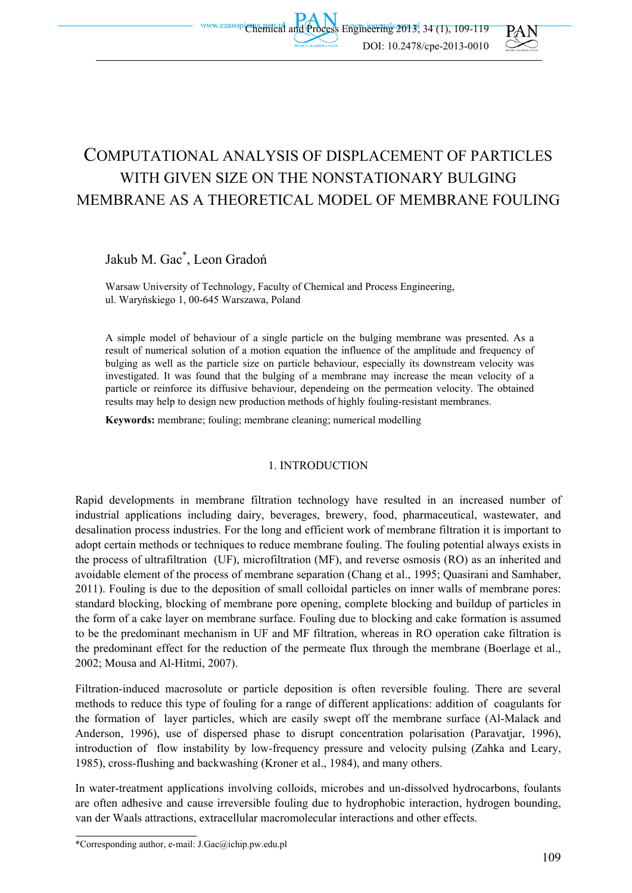# COMPUTATIONAL ANALYSIS OF DISPLACEMENT OF PARTICLES WITH GIVEN SIZE ON THE NONSTATIONARY BULGING MEMBRANE AS A THEORETICAL MODEL OF MEMBRANE FOULING

## Jakub M. Gac\* , Leon Gradoń

Warsaw University of Technology, Faculty of Chemical and Process Engineering, ul. Waryńskiego 1, 00-645 Warszawa, Poland

A simple model of behaviour of a single particle on the bulging membrane was presented. As a result of numerical solution of a motion equation the influence of the amplitude and frequency of bulging as well as the particle size on particle behaviour, especially its downstream velocity was investigated. It was found that the bulging of a membrane may increase the mean velocity of a particle or reinforce its diffusive behaviour, dependeing on the permeation velocity. The obtained results may help to design new production methods of highly fouling-resistant membranes.

**Keywords:** membrane; fouling; membrane cleaning; numerical modelling

#### 1. INTRODUCTION

Rapid developments in membrane filtration technology have resulted in an increased number of industrial applications including dairy, beverages, brewery, food, pharmaceutical, wastewater, and desalination process industries. For the long and efficient work of membrane filtration it is important to adopt certain methods or techniques to reduce membrane fouling. The fouling potential always exists in the process of ultrafiltration (UF), microfiltration (MF), and reverse osmosis (RO) as an inherited and avoidable element of the process of membrane separation (Chang et al., 1995; Quasirani and Samhaber, 2011). Fouling is due to the deposition of small colloidal particles on inner walls of membrane pores: standard blocking, blocking of membrane pore opening, complete blocking and buildup of particles in the form of a cake layer on membrane surface. Fouling due to blocking and cake formation is assumed to be the predominant mechanism in UF and MF filtration, whereas in RO operation cake filtration is the predominant effect for the reduction of the permeate flux through the membrane (Boerlage et al., 2002; Mousa and Al-Hitmi, 2007).

Filtration-induced macrosolute or particle deposition is often reversible fouling. There are several methods to reduce this type of fouling for a range of different applications: addition of coagulants for the formation of layer particles, which are easily swept off the membrane surface (Al-Malack and Anderson, 1996), use of dispersed phase to disrupt concentration polarisation (Paravatjar, 1996), introduction of flow instability by low-frequency pressure and velocity pulsing (Zahka and Leary, 1985), cross-flushing and backwashing (Kroner et al., 1984), and many others.

In water-treatment applications involving colloids, microbes and un-dissolved hydrocarbons, foulants are often adhesive and cause irreversible fouling due to hydrophobic interaction, hydrogen bounding, van der Waals attractions, extracellular macromolecular interactions and other effects.

<sup>\*</sup>Corresponding author, e-mail: J.Gac@ichip.pw.edu.pl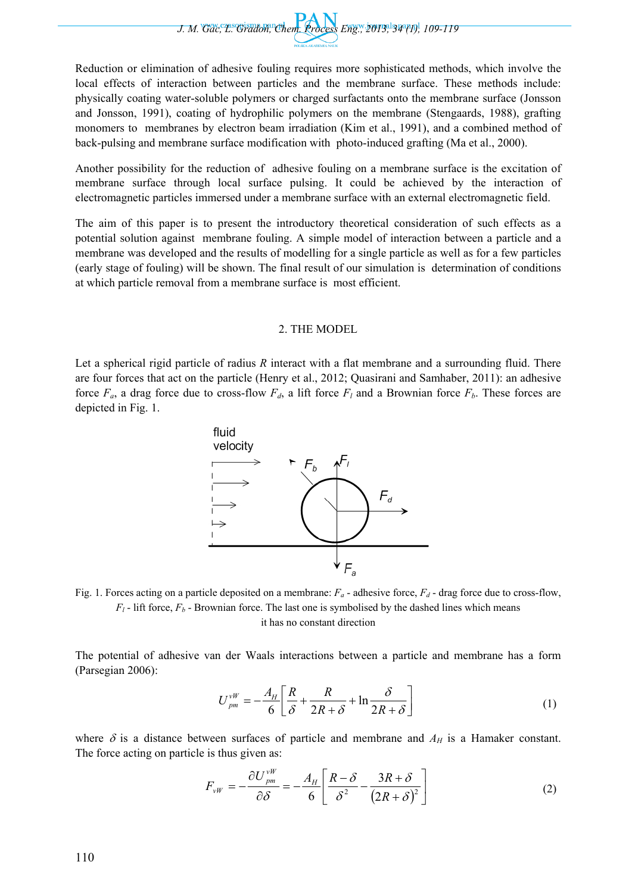*J. M. Gac, L. Gradoń, Chem. Process Eng., 2013, 34 (1), 109-119* 

Reduction or elimination of adhesive fouling requires more sophisticated methods, which involve the local effects of interaction between particles and the membrane surface. These methods include: physically coating water-soluble polymers or charged surfactants onto the membrane surface (Jonsson and Jonsson, 1991), coating of hydrophilic polymers on the membrane (Stengaards, 1988), grafting monomers to membranes by electron beam irradiation (Kim et al., 1991), and a combined method of back-pulsing and membrane surface modification with photo-induced grafting (Ma et al., 2000).

Another possibility for the reduction of adhesive fouling on a membrane surface is the excitation of membrane surface through local surface pulsing. It could be achieved by the interaction of electromagnetic particles immersed under a membrane surface with an external electromagnetic field.

The aim of this paper is to present the introductory theoretical consideration of such effects as a potential solution against membrane fouling. A simple model of interaction between a particle and a membrane was developed and the results of modelling for a single particle as well as for a few particles (early stage of fouling) will be shown. The final result of our simulation is determination of conditions at which particle removal from a membrane surface is most efficient.

#### 2. THE MODEL

Let a spherical rigid particle of radius *R* interact with a flat membrane and a surrounding fluid. There are four forces that act on the particle (Henry et al., 2012; Quasirani and Samhaber, 2011): an adhesive force  $F_a$ , a drag force due to cross-flow  $F_d$ , a lift force  $F_l$  and a Brownian force  $F_b$ . These forces are depicted in Fig. 1.





it has no constant direction

The potential of adhesive van der Waals interactions between a particle and membrane has a form (Parsegian 2006):

$$
U_{pm}^{vW} = -\frac{A_H}{6} \left[ \frac{R}{\delta} + \frac{R}{2R + \delta} + \ln \frac{\delta}{2R + \delta} \right]
$$
 (1)

where  $\delta$  is a distance between surfaces of particle and membrane and  $A_H$  is a Hamaker constant. The force acting on particle is thus given as:

$$
F_{vW} = -\frac{\partial U_{pm}^{vW}}{\partial \delta} = -\frac{A_H}{6} \left[ \frac{R - \delta}{\delta^2} - \frac{3R + \delta}{(2R + \delta)^2} \right]
$$
(2)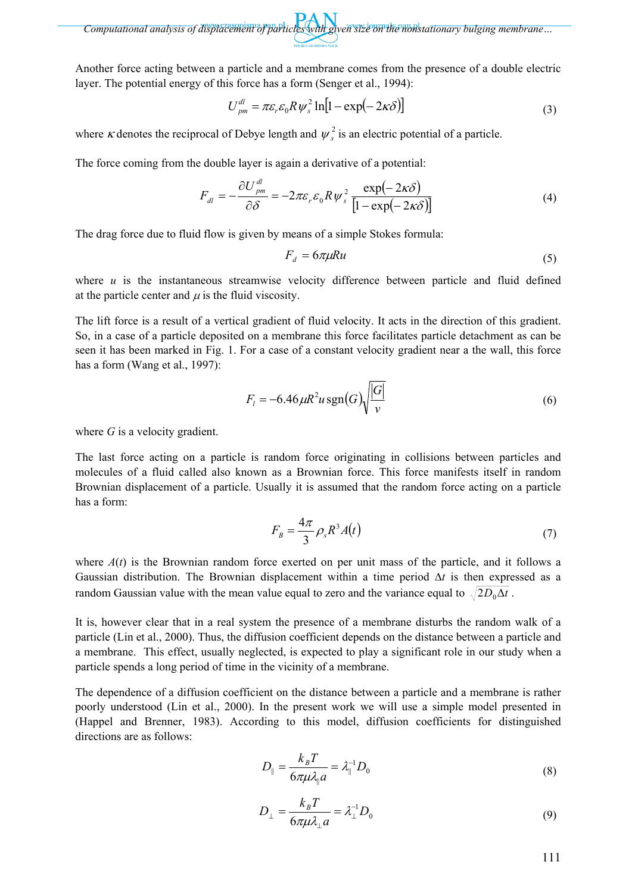Another force acting between a particle and a membrane comes from the presence of a double electric layer. The potential energy of this force has a form (Senger et al., 1994):

$$
U_{pm}^{dl} = \pi \varepsilon_r \varepsilon_0 R \psi_s^2 \ln[1 - \exp(-2\kappa \delta)] \tag{3}
$$

where  $\kappa$  denotes the reciprocal of Debye length and  $\psi^2$  is an electric potential of a particle.

The force coming from the double layer is again a derivative of a potential:

$$
F_{dl} = -\frac{\partial U_{pm}^{dl}}{\partial \delta} = -2\pi \varepsilon_r \varepsilon_0 R \psi_s^2 \frac{\exp(-2\kappa \delta)}{[1 - \exp(-2\kappa \delta)]}
$$
(4)

The drag force due to fluid flow is given by means of a simple Stokes formula:

$$
F_d = 6\pi\mu Ru \tag{5}
$$

where *u* is the instantaneous streamwise velocity difference between particle and fluid defined at the particle center and  $\mu$  is the fluid viscosity.

The lift force is a result of a vertical gradient of fluid velocity. It acts in the direction of this gradient. So, in a case of a particle deposited on a membrane this force facilitates particle detachment as can be seen it has been marked in Fig. 1. For a case of a constant velocity gradient near a the wall, this force has a form (Wang et al., 1997):

$$
F_t = -6.46 \,\mu\left(\frac{R^2 u \, \text{sgn}(G)}{v}\right) \frac{|G|}{v} \tag{6}
$$

where *G* is a velocity gradient.

The last force acting on a particle is random force originating in collisions between particles and molecules of a fluid called also known as a Brownian force. This force manifests itself in random Brownian displacement of a particle. Usually it is assumed that the random force acting on a particle has a form:

$$
F_B = \frac{4\pi}{3} \rho_s R^3 A(t) \tag{7}
$$

where  $A(t)$  is the Brownian random force exerted on per unit mass of the particle, and it follows a Gaussian distribution. The Brownian displacement within a time period Δ*t* is then expressed as a random Gaussian value with the mean value equal to zero and the variance equal to  $\sqrt{2D_0\Delta t}$ .

It is, however clear that in a real system the presence of a membrane disturbs the random walk of a particle (Lin et al., 2000). Thus, the diffusion coefficient depends on the distance between a particle and a membrane. This effect, usually neglected, is expected to play a significant role in our study when a particle spends a long period of time in the vicinity of a membrane.

The dependence of a diffusion coefficient on the distance between a particle and a membrane is rather poorly understood (Lin et al., 2000). In the present work we will use a simple model presented in (Happel and Brenner, 1983). According to this model, diffusion coefficients for distinguished directions are as follows:

$$
D_{\parallel} = \frac{k_B T}{6\pi\mu\lambda_{\parallel}a} = \lambda_{\parallel}^{-1}D_0
$$
\n(8)

$$
D_{\perp} = \frac{k_B T}{6\pi \mu \lambda_{\perp} a} = \lambda_{\perp}^{-1} D_0 \tag{9}
$$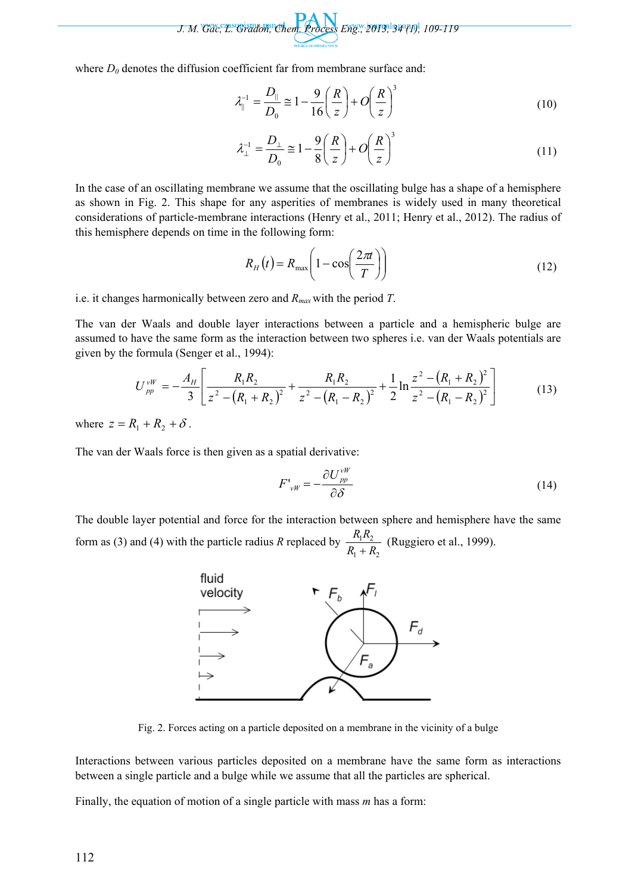*J. M. Gac, L. Gradoń, Chem. Process Eng., 2013, 34 (1), 109-119* 

where  $D_0$  denotes the diffusion coefficient far from membrane surface and:

$$
\lambda_{\parallel}^{-1} = \frac{D_{\parallel}}{D_0} \approx 1 - \frac{9}{16} \left(\frac{R}{z}\right) + O\left(\frac{R}{z}\right)^3
$$
\n(10)

$$
\lambda_{\perp}^{-1} = \frac{D_{\perp}}{D_0} \cong 1 - \frac{9}{8} \left(\frac{R}{z}\right) + O\left(\frac{R}{z}\right)^3 \tag{11}
$$

In the case of an oscillating membrane we assume that the oscillating bulge has a shape of a hemisphere as shown in Fig. 2. This shape for any asperities of membranes is widely used in many theoretical considerations of particle-membrane interactions (Henry et al., 2011; Henry et al., 2012). The radius of this hemisphere depends on time in the following form:

$$
R_H(t) = R_{\text{max}} \left( 1 - \cos \left( \frac{2\pi t}{T} \right) \right) \tag{12}
$$

i.e. it changes harmonically between zero and *Rmax* with the period *T*.

The van der Waals and double layer interactions between a particle and a hemispheric bulge are assumed to have the same form as the interaction between two spheres i.e. van der Waals potentials are given by the formula (Senger et al., 1994):

$$
U_{pp}^{vW} = -\frac{A_H}{3} \left[ \frac{R_1 R_2}{z^2 - (R_1 + R_2)^2} + \frac{R_1 R_2}{z^2 - (R_1 - R_2)^2} + \frac{1}{2} \ln \frac{z^2 - (R_1 + R_2)^2}{z^2 - (R_1 - R_2)^2} \right]
$$
(13)

where  $z = R_1 + R_2 + \delta$ .

The van der Waals force is then given as a spatial derivative:

$$
F'_{\nu W} = -\frac{\partial U^{\nu W}_{\rho \rho}}{\partial \delta} \tag{14}
$$

The double layer potential and force for the interaction between sphere and hemisphere have the same form as (3) and (4) with the particle radius *R* replaced by  $1 + \mu_2$  $1''$  2  $R_1 + R$  $R_1R$ + (Ruggiero et al., 1999).



Fig. 2. Forces acting on a particle deposited on a membrane in the vicinity of a bulge

Interactions between various particles deposited on a membrane have the same form as interactions between a single particle and a bulge while we assume that all the particles are spherical.

Finally, the equation of motion of a single particle with mass *m* has a form: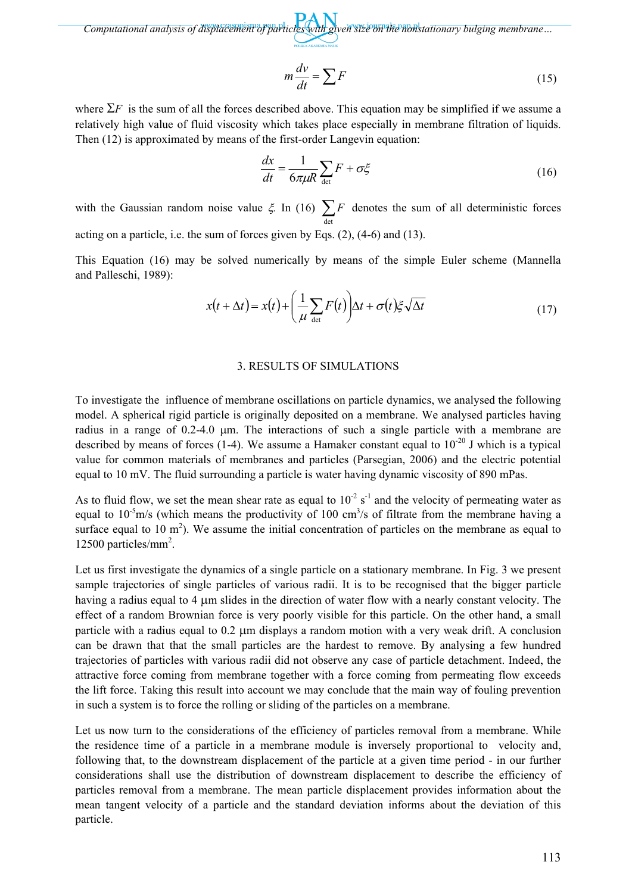$$
m\frac{dv}{dt} = \sum F
$$
 (15)

where  $\Sigma F$  is the sum of all the forces described above. This equation may be simplified if we assume a relatively high value of fluid viscosity which takes place especially in membrane filtration of liquids. Then (12) is approximated by means of the first-order Langevin equation:

$$
\frac{dx}{dt} = \frac{1}{6\pi\mu R} \sum_{\text{det}} F + \sigma \xi \tag{16}
$$

with the Gaussian random noise value  $\xi$ . In (16)  $\sum_{\text{det}}$ *F* denotes the sum of all deterministic forces

acting on a particle, i.e. the sum of forces given by Eqs. (2), (4-6) and (13).

This Equation (16) may be solved numerically by means of the simple Euler scheme (Mannella and Palleschi, 1989):

$$
x(t + \Delta t) = x(t) + \left(\frac{1}{\mu} \sum_{\text{det}} F(t)\right) \Delta t + \sigma(t) \xi \sqrt{\Delta t}
$$
 (17)

#### 3. RESULTS OF SIMULATIONS

To investigate the influence of membrane oscillations on particle dynamics, we analysed the following model. A spherical rigid particle is originally deposited on a membrane. We analysed particles having radius in a range of 0.2-4.0 μm. The interactions of such a single particle with a membrane are described by means of forces (1-4). We assume a Hamaker constant equal to  $10^{-20}$  J which is a typical value for common materials of membranes and particles (Parsegian, 2006) and the electric potential equal to 10 mV. The fluid surrounding a particle is water having dynamic viscosity of 890 mPas.

As to fluid flow, we set the mean shear rate as equal to  $10^{-2}$  s<sup>-1</sup> and the velocity of permeating water as equal to  $10^{-5}$ m/s (which means the productivity of 100 cm<sup>3</sup>/s of filtrate from the membrane having a surface equal to 10  $m<sup>2</sup>$ ). We assume the initial concentration of particles on the membrane as equal to 12500 particles/mm2 .

Let us first investigate the dynamics of a single particle on a stationary membrane. In Fig. 3 we present sample trajectories of single particles of various radii. It is to be recognised that the bigger particle having a radius equal to 4 μm slides in the direction of water flow with a nearly constant velocity. The effect of a random Brownian force is very poorly visible for this particle. On the other hand, a small particle with a radius equal to 0.2 μm displays a random motion with a very weak drift. A conclusion can be drawn that that the small particles are the hardest to remove. By analysing a few hundred trajectories of particles with various radii did not observe any case of particle detachment. Indeed, the attractive force coming from membrane together with a force coming from permeating flow exceeds the lift force. Taking this result into account we may conclude that the main way of fouling prevention in such a system is to force the rolling or sliding of the particles on a membrane.

Let us now turn to the considerations of the efficiency of particles removal from a membrane. While the residence time of a particle in a membrane module is inversely proportional to velocity and, following that, to the downstream displacement of the particle at a given time period - in our further considerations shall use the distribution of downstream displacement to describe the efficiency of particles removal from a membrane. The mean particle displacement provides information about the mean tangent velocity of a particle and the standard deviation informs about the deviation of this particle.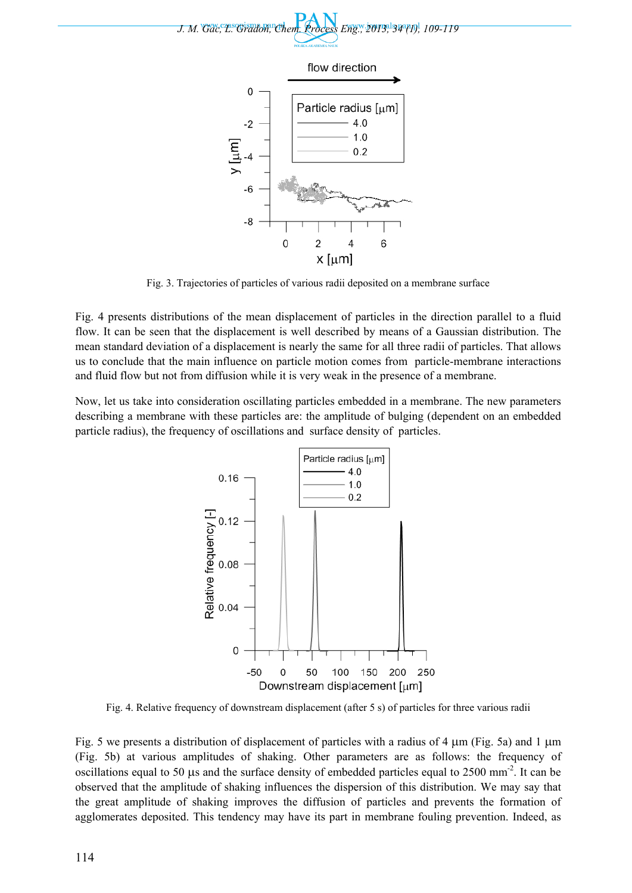



Fig. 3. Trajectories of particles of various radii deposited on a membrane surface

Fig. 4 presents distributions of the mean displacement of particles in the direction parallel to a fluid flow. It can be seen that the displacement is well described by means of a Gaussian distribution. The mean standard deviation of a displacement is nearly the same for all three radii of particles. That allows us to conclude that the main influence on particle motion comes from particle-membrane interactions and fluid flow but not from diffusion while it is very weak in the presence of a membrane.

Now, let us take into consideration oscillating particles embedded in a membrane. The new parameters describing a membrane with these particles are: the amplitude of bulging (dependent on an embedded particle radius), the frequency of oscillations and surface density of particles.



Fig. 4. Relative frequency of downstream displacement (after 5 s) of particles for three various radii

Fig. 5 we presents a distribution of displacement of particles with a radius of 4  $\mu$ m (Fig. 5a) and 1  $\mu$ m (Fig. 5b) at various amplitudes of shaking. Other parameters are as follows: the frequency of oscillations equal to 50 μs and the surface density of embedded particles equal to 2500 mm-2. It can be observed that the amplitude of shaking influences the dispersion of this distribution. We may say that the great amplitude of shaking improves the diffusion of particles and prevents the formation of agglomerates deposited. This tendency may have its part in membrane fouling prevention. Indeed, as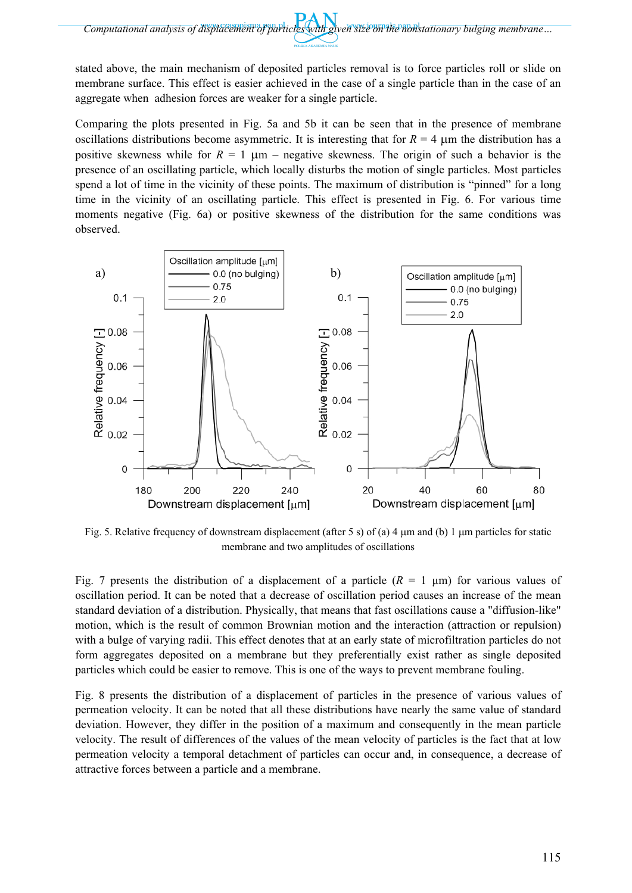stated above, the main mechanism of deposited particles removal is to force particles roll or slide on membrane surface. This effect is easier achieved in the case of a single particle than in the case of an aggregate when adhesion forces are weaker for a single particle.

Comparing the plots presented in Fig. 5a and 5b it can be seen that in the presence of membrane oscillations distributions become asymmetric. It is interesting that for  $R = 4 \mu m$  the distribution has a positive skewness while for  $R = 1 \mu m$  – negative skewness. The origin of such a behavior is the presence of an oscillating particle, which locally disturbs the motion of single particles. Most particles spend a lot of time in the vicinity of these points. The maximum of distribution is "pinned" for a long time in the vicinity of an oscillating particle. This effect is presented in Fig. 6. For various time moments negative (Fig. 6a) or positive skewness of the distribution for the same conditions was observed.



Fig. 5. Relative frequency of downstream displacement (after 5 s) of (a) 4  $\mu$ m and (b) 1  $\mu$ m particles for static membrane and two amplitudes of oscillations

Fig. 7 presents the distribution of a displacement of a particle  $(R = 1 \mu m)$  for various values of oscillation period. It can be noted that a decrease of oscillation period causes an increase of the mean standard deviation of a distribution. Physically, that means that fast oscillations cause a "diffusion-like" motion, which is the result of common Brownian motion and the interaction (attraction or repulsion) with a bulge of varying radii. This effect denotes that at an early state of microfiltration particles do not form aggregates deposited on a membrane but they preferentially exist rather as single deposited particles which could be easier to remove. This is one of the ways to prevent membrane fouling.

Fig. 8 presents the distribution of a displacement of particles in the presence of various values of permeation velocity. It can be noted that all these distributions have nearly the same value of standard deviation. However, they differ in the position of a maximum and consequently in the mean particle velocity. The result of differences of the values of the mean velocity of particles is the fact that at low permeation velocity a temporal detachment of particles can occur and, in consequence, a decrease of attractive forces between a particle and a membrane.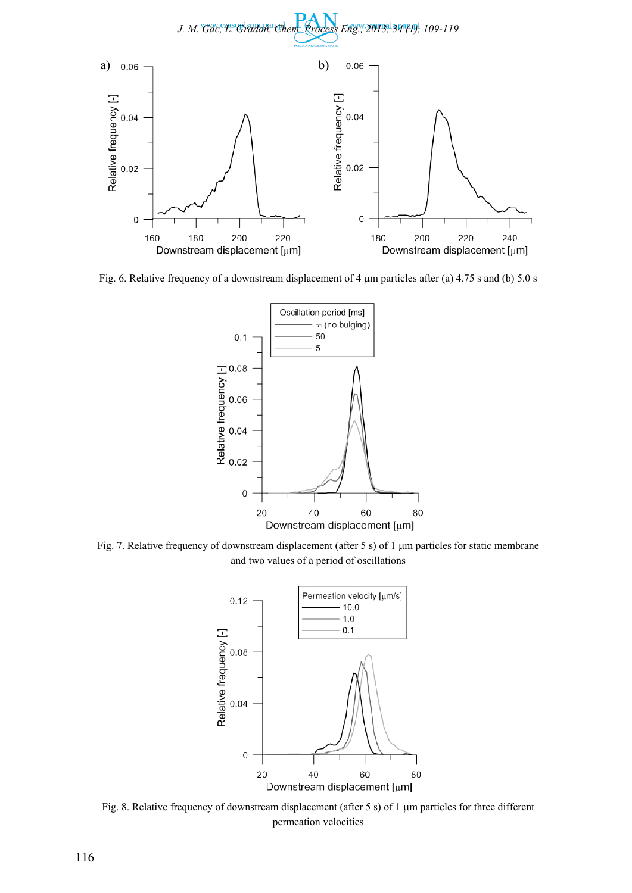

Fig. 6. Relative frequency of a downstream displacement of 4 μm particles after (a) 4.75 s and (b) 5.0 s



Fig. 7. Relative frequency of downstream displacement (after 5 s) of 1 μm particles for static membrane and two values of a period of oscillations



Fig. 8. Relative frequency of downstream displacement (after 5 s) of 1 μm particles for three different permeation velocities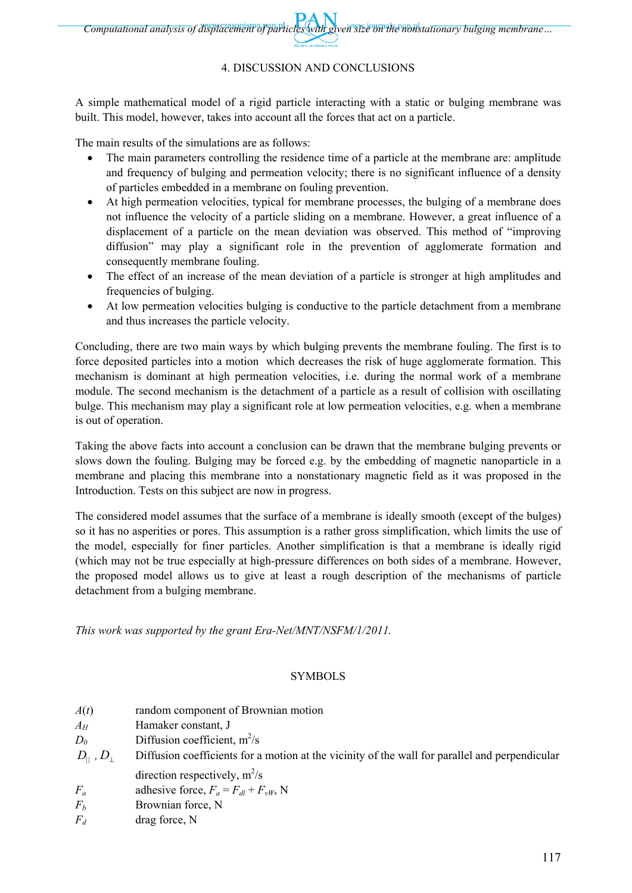### 4. DISCUSSION AND CONCLUSIONS

A simple mathematical model of a rigid particle interacting with a static or bulging membrane was built. This model, however, takes into account all the forces that act on a particle.

The main results of the simulations are as follows:

- The main parameters controlling the residence time of a particle at the membrane are: amplitude and frequency of bulging and permeation velocity; there is no significant influence of a density of particles embedded in a membrane on fouling prevention.
- At high permeation velocities, typical for membrane processes, the bulging of a membrane does not influence the velocity of a particle sliding on a membrane. However, a great influence of a displacement of a particle on the mean deviation was observed. This method of "improving diffusion" may play a significant role in the prevention of agglomerate formation and consequently membrane fouling.
- The effect of an increase of the mean deviation of a particle is stronger at high amplitudes and frequencies of bulging.
- At low permeation velocities bulging is conductive to the particle detachment from a membrane and thus increases the particle velocity.

Concluding, there are two main ways by which bulging prevents the membrane fouling. The first is to force deposited particles into a motion which decreases the risk of huge agglomerate formation. This mechanism is dominant at high permeation velocities, i.e. during the normal work of a membrane module. The second mechanism is the detachment of a particle as a result of collision with oscillating bulge. This mechanism may play a significant role at low permeation velocities, e.g. when a membrane is out of operation.

Taking the above facts into account a conclusion can be drawn that the membrane bulging prevents or slows down the fouling. Bulging may be forced e.g. by the embedding of magnetic nanoparticle in a membrane and placing this membrane into a nonstationary magnetic field as it was proposed in the Introduction. Tests on this subject are now in progress.

The considered model assumes that the surface of a membrane is ideally smooth (except of the bulges) so it has no asperities or pores. This assumption is a rather gross simplification, which limits the use of the model, especially for finer particles. Another simplification is that a membrane is ideally rigid (which may not be true especially at high-pressure differences on both sides of a membrane. However, the proposed model allows us to give at least a rough description of the mechanisms of particle detachment from a bulging membrane.

*This work was supported by the grant Era-Net/MNT/NSFM/1/2011.*

#### SYMBOLS

| A(t)                                        | random component of Brownian motion                                                            |
|---------------------------------------------|------------------------------------------------------------------------------------------------|
| $A_H$                                       | Hamaker constant, J                                                                            |
| $D_0$                                       | Diffusion coefficient, $m^2/s$                                                                 |
| $D_{\shortparallel}$ , $D_{\shortparallel}$ | Diffusion coefficients for a motion at the vicinity of the wall for parallel and perpendicular |
|                                             | direction respectively, $m^2/s$                                                                |
| $F_a$                                       | adhesive force, $F_a = F_{dl} + F_{vW}$ , N                                                    |
| $F_b$                                       | Brownian force, N                                                                              |
| $F_d$                                       | drag force, N                                                                                  |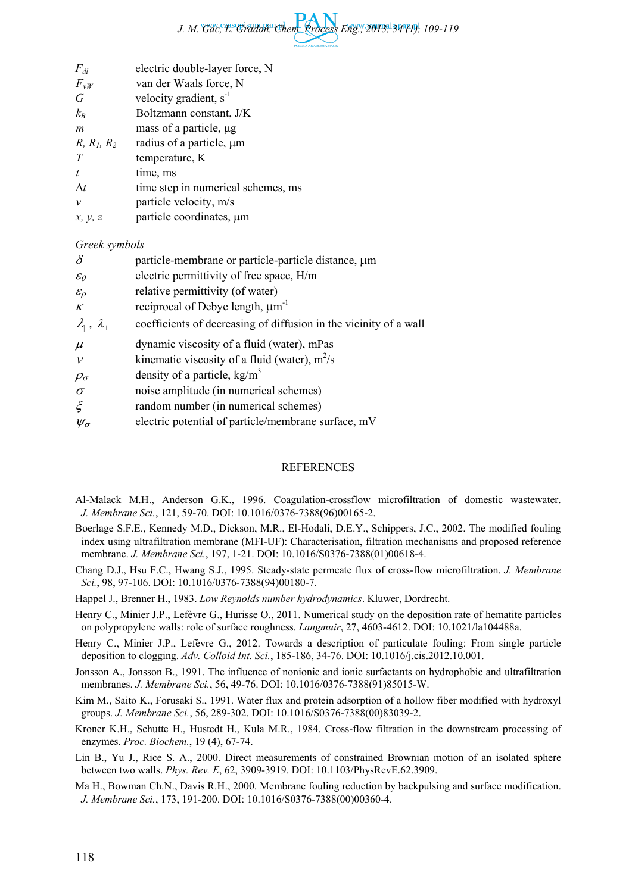

| $F_{dl}$                                  | electric double-layer force, N                                    |  |
|-------------------------------------------|-------------------------------------------------------------------|--|
| $F_{vW}$                                  | van der Waals force, N                                            |  |
| $\, G \,$                                 | velocity gradient, $s^{-1}$                                       |  |
| $k_B$                                     | Boltzmann constant, J/K                                           |  |
| $\boldsymbol{m}$                          | mass of a particle, µg                                            |  |
| $R, R_1, R_2$                             | radius of a particle, µm                                          |  |
| T                                         | temperature, K                                                    |  |
| t                                         | time, ms                                                          |  |
| $\Delta t$                                | time step in numerical schemes, ms                                |  |
| $\mathcal{V}$                             | particle velocity, m/s                                            |  |
| x, y, z                                   | particle coordinates, µm                                          |  |
| Greek symbols                             |                                                                   |  |
| $\delta$                                  | particle-membrane or particle-particle distance, $\mu$ m          |  |
| $\varepsilon_{0}$                         | electric permittivity of free space, H/m                          |  |
| $\varepsilon_{\rho}$                      | relative permittivity (of water)                                  |  |
| $\boldsymbol{\mathcal{K}}$                | reciprocal of Debye length, $\mu m^{-1}$                          |  |
| $\lambda_{\parallel}$ , $\lambda_{\perp}$ | coefficients of decreasing of diffusion in the vicinity of a wall |  |
| $\mu$                                     | dynamic viscosity of a fluid (water), mPas                        |  |
| $\boldsymbol{\mathcal{V}}$                | kinematic viscosity of a fluid (water), $m^2/s$                   |  |
| $\rho_{\sigma}$                           | density of a particle, $kg/m3$                                    |  |
| $\sigma$                                  | noise amplitude (in numerical schemes)                            |  |
| $\xi$                                     | random number (in numerical schemes)                              |  |
| $\psi_{\sigma}$                           | electric potential of particle/membrane surface, mV               |  |
|                                           |                                                                   |  |

#### REFERENCES

- Al-Malack M.H., Anderson G.K., 1996. Coagulation-crossflow microfiltration of domestic wastewater. *J. Membrane Sci.*, 121, 59-70. DOI: 10.1016/0376-7388(96)00165-2.
- Boerlage S.F.E., Kennedy M.D., Dickson, M.R., El-Hodali, D.E.Y., Schippers, J.C., 2002. The modified fouling index using ultrafiltration membrane (MFI-UF): Characterisation, filtration mechanisms and proposed reference membrane. *J. Membrane Sci.*, 197, 1-21. DOI: 10.1016/S0376-7388(01)00618-4.
- Chang D.J., Hsu F.C., Hwang S.J., 1995. Steady-state permeate flux of cross-flow microfiltration. *J. Membrane Sci.*, 98, 97-106. DOI: 10.1016/0376-7388(94)00180-7.
- Happel J., Brenner H., 1983. *Low Reynolds number hydrodynamics*. Kluwer, Dordrecht.
- Henry C., Minier J.P., Lefèvre G., Hurisse O., 2011. Numerical study on the deposition rate of hematite particles on polypropylene walls: role of surface roughness. *Langmuir*, 27, 4603-4612. DOI: 10.1021/la104488a.
- Henry C., Minier J.P., Lefèvre G., 2012. Towards a description of particulate fouling: From single particle deposition to clogging. *Adv. Colloid Int. Sci.*, 185-186, 34-76. DOI: 10.1016/j.cis.2012.10.001.
- Jonsson A., Jonsson B., 1991. The influence of nonionic and ionic surfactants on hydrophobic and ultrafiltration membranes. *J. Membrane Sci.*, 56, 49-76. DOI: 10.1016/0376-7388(91)85015-W.
- Kim M., Saito K., Forusaki S., 1991. Water flux and protein adsorption of a hollow fiber modified with hydroxyl groups. *J. Membrane Sci.*, 56, 289-302. DOI: 10.1016/S0376-7388(00)83039-2.
- Kroner K.H., Schutte H., Hustedt H., Kula M.R., 1984. Cross-flow filtration in the downstream processing of enzymes. *Proc. Biochem.*, 19 (4), 67-74.
- Lin B., Yu J., Rice S. A., 2000. Direct measurements of constrained Brownian motion of an isolated sphere between two walls. *Phys. Rev. E*, 62, 3909-3919. DOI: 10.1103/PhysRevE.62.3909.
- Ma H., Bowman Ch.N., Davis R.H., 2000. Membrane fouling reduction by backpulsing and surface modification. *J. Membrane Sci.*, 173, 191-200. DOI: 10.1016/S0376-7388(00)00360-4.